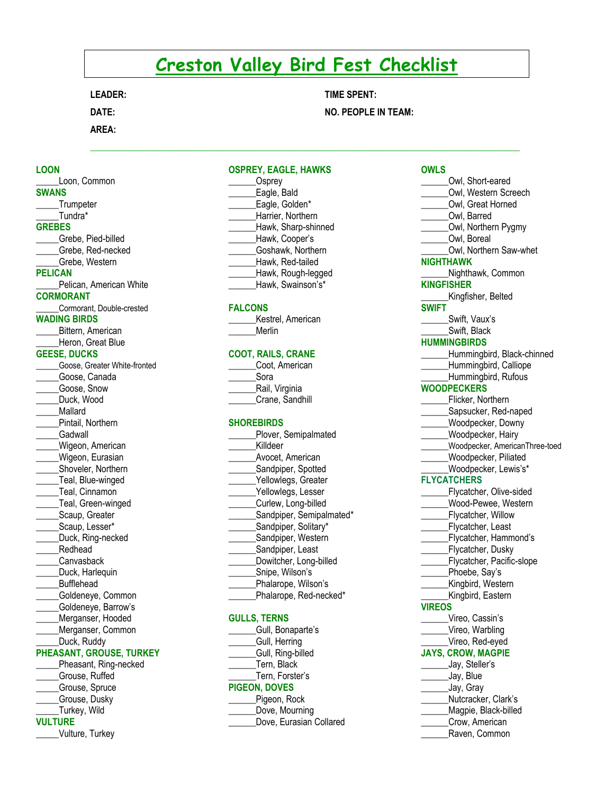# **Creston Valley Bird Fest Checklist**

**LEADER:** 

**DATE:** 

**AREA:**

**NO. PEOPLE IN TEAM:** 

**TIME SPENT:**

# **LOON**

**\_\_\_\_\_**Loon, Common **SWANS \_\_\_\_**\_Trumpeter \_\_\_\_\_Tundra\* **GREBES** \_\_\_\_\_Grebe, Pied-billed \_\_\_\_\_Grebe, Red-necked \_\_\_\_\_Grebe, Western **PELICAN \_\_\_\_\_**Pelican, American White **CORMORANT** \_\_\_\_\_Cormorant, Double-crested **WADING BIRDS \_\_\_\_**\_Bittern, American Heron, Great Blue **GEESE, DUCKS** \_\_\_\_\_Goose, Greater White-fronted \_\_\_\_\_Goose, Canada \_\_\_\_\_Goose, Snow Duck, Wood \_\_\_\_\_Mallard \_\_\_\_\_Pintail, Northern \_\_\_\_\_Gadwall \_\_\_\_\_Wigeon, American Wigeon, Eurasian \_\_\_\_\_Shoveler, Northern \_\_\_\_\_Teal, Blue-winged \_\_\_\_\_Teal, Cinnamon Teal, Green-winged Scaup, Greater \_\_\_\_\_Scaup, Lesser\* Duck, Ring-necked \_\_\_\_\_Redhead \_\_\_\_\_Canvasback \_\_\_\_\_Duck, Harlequin \_\_\_\_\_Bufflehead \_\_\_\_\_Goldeneye, Common \_\_\_\_\_Goldeneye, Barrow's Merganser, Hooded \_\_\_\_\_Merganser, Common Duck, Ruddy **PHEASANT, GROUSE, TURKEY** Pheasant, Ring-necked \_\_\_\_\_Grouse, Ruffed \_\_\_\_\_Grouse, Spruce \_\_\_\_\_Grouse, Dusky

# \_\_\_\_\_Turkey, Wild

#### **VULTURE**

\_\_\_\_\_Vulture, Turkey

#### **OSPREY, EAGLE, HAWKS**

| Osprey              |
|---------------------|
| Eagle, Bald         |
| Eagle, Golden*      |
| Harrier, Northern   |
| Hawk, Sharp-shinned |
| Hawk, Cooper's      |
| Goshawk, Northern   |
| Hawk, Red-tailed    |
| Hawk, Rough-legged  |
| Hawk, Swainson's*   |

#### **FALCONS**

Kestrel, American \_\_\_\_\_\_Merlin

# **COOT, RAILS, CRANE**

| Coot, American  |
|-----------------|
| Sora            |
| Rail, Virginia  |
| Crane, Sandhill |

#### **SHOREBIRDS**

| Plover, Semipalmated     |
|--------------------------|
| Killdeer                 |
| Avocet, American         |
| Sandpiper, Spotted       |
| Yellowlegs, Greater      |
| Yellowlegs, Lesser       |
| Curlew, Long-billed      |
| Sandpiper, Semipalmated* |
| Sandpiper, Solitary*     |
| Sandpiper, Western       |
| Sandpiper, Least         |
| Dowitcher, Long-billed   |
| Snipe, Wilson's          |
| Phalarope, Wilson's      |
| Phalarope, Red-necked*   |

#### **GULLS, TERNS**

# $\mathcal{L}_\mathcal{L} = \{ \mathcal{L}_\mathcal{L} = \{ \mathcal{L}_\mathcal{L} = \{ \mathcal{L}_\mathcal{L} = \{ \mathcal{L}_\mathcal{L} = \{ \mathcal{L}_\mathcal{L} = \{ \mathcal{L}_\mathcal{L} = \{ \mathcal{L}_\mathcal{L} = \{ \mathcal{L}_\mathcal{L} = \{ \mathcal{L}_\mathcal{L} = \{ \mathcal{L}_\mathcal{L} = \{ \mathcal{L}_\mathcal{L} = \{ \mathcal{L}_\mathcal{L} = \{ \mathcal{L}_\mathcal{L} = \{ \mathcal{L}_\mathcal{$ **OWLS** \_\_\_\_\_\_Owl, Short-eared Owl, Western Screech \_\_\_\_\_\_Owl, Great Horned \_\_\_\_\_\_Owl, Barred Owl, Northern Pygmy \_\_\_\_\_\_Owl, Boreal \_\_\_\_\_\_Owl, Northern Saw-whet **NIGHTHAWK \_\_\_\_\_\_**Nighthawk, Common **KINGFISHER** Kingfisher, Belted **SWIFT \_\_\_\_\_**\_Swift, Vaux's \_\_\_\_\_\_Swift, Black **HUMMINGBIRDS** \_\_\_\_\_\_Hummingbird, Black-chinned Hummingbird, Calliope Hummingbird, Rufous **WOODPECKERS** \_\_\_\_\_\_Flicker, Northern Sapsucker, Red-naped \_\_\_\_\_\_Woodpecker, Downy Woodpecker, Hairy \_\_\_\_\_\_Woodpecker, AmericanThree-toed \_\_\_\_\_\_Woodpecker, Piliated Woodpecker, Lewis's\* **FLYCATCHERS** Flycatcher, Olive-sided \_\_\_\_\_\_Wood-Pewee, Western **\_\_\_\_\_\_**Flycatcher, Willow \_\_\_\_\_\_Flycatcher, Least \_\_\_\_\_\_Flycatcher, Hammond's \_\_\_\_\_\_Flycatcher, Dusky Flycatcher, Pacific-slope Phoebe, Say's \_\_\_\_\_\_Kingbird, Western Kingbird, Eastern **VIREOS \_\_\_\_\_**\_Vireo, Cassin's Vireo, Warbling \_\_\_\_\_\_Vireo, Red-eyed **JAYS, CROW, MAGPIE** \_\_\_\_\_\_Jay, Steller's \_\_\_\_\_\_Jay, Blue \_\_\_\_\_\_Jay, Gray \_\_\_\_\_\_Nutcracker, Clark's \_\_\_\_\_\_Magpie, Black-billed \_\_\_\_\_\_Crow, American

\_\_\_\_\_\_Raven, Common